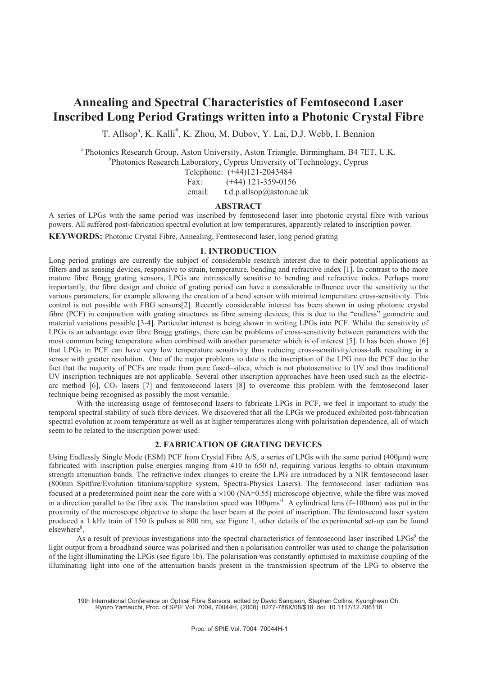# **Annealing and Spectral Characteristics of Femtosecond Laser Inscribed Long Period Gratings written into a Photonic Crystal Fibre**

T. Allsop<sup>a</sup>, K. Kalli<sup>#</sup>, K. Zhou, M. Dubov, Y. Lai, D.J. Webb, I. Bennion

<sup>a</sup> Photonics Research Group, Aston University, Aston Triangle, Birmingham, B4 7ET, U.K.

# Photonics Research Laboratory, Cyprus University of Technology, Cyprus

Telephone: (+44)121-2043484

Fax: (+44) 121-359-0156

email: t.d.p.allsop@aston.ac.uk

## **ABSTRACT**

A series of LPGs with the same period was inscribed by femtosecond laser into photonic crystal fibre with various powers. All suffered post-fabrication spectral evolution at low temperatures, apparently related to inscription power.

**KEYWORDS:** Photonic Crystal Fibre, Annealing, Femtosecond laser, long period grating

# **1. INTRODUCTION**

Long period gratings are currently the subject of considerable research interest due to their potential applications as filters and as sensing devices, responsive to strain, temperature, bending and refractive index [1]. In contrast to the more mature fibre Bragg grating sensors, LPGs are intrinsically sensitive to bending and refractive index. Perhaps more importantly, the fibre design and choice of grating period can have a considerable influence over the sensitivity to the various parameters, for example allowing the creation of a bend sensor with minimal temperature cross-sensitivity. This control is not possible with FBG sensors[2]. Recently considerable interest has been shown in using photonic crystal fibre (PCF) in conjunction with grating structures as fibre sensing devices; this is due to the "endless" geometric and material variations possible [3-4]. Particular interest is being shown in writing LPGs into PCF. Whilst the sensitivity of LPGs is an advantage over fibre Bragg gratings, there can be problems of cross-sensitivity between parameters with the most common being temperature when combined with another parameter which is of interest [5]. It has been shown [6] that LPGs in PCF can have very low temperature sensitivity thus reducing cross-sensitivity/cross-talk resulting in a sensor with greater resolution. One of the major problems to date is the inscription of the LPG into the PCF due to the fact that the majority of PCFs are made from pure fused–silica, which is not photosensitive to UV and thus traditional UV inscription techniques are not applicable. Several other inscription approaches have been used such as the electricarc method  $[6]$ ,  $CO<sub>2</sub>$  lasers  $[7]$  and femtosecond lasers  $[8]$  to overcome this problem with the femtosecond laser technique being recognised as possibly the most versatile.

 With the increasing usage of femtosecond lasers to fabricate LPGs in PCF, we feel it important to study the temporal spectral stability of such fibre devices. We discovered that all the LPGs we produced exhibited post-fabrication spectral evolution at room temperature as well as at higher temperatures along with polarisation dependence, all of which seem to be related to the inscription power used.

# **2. FABRICATION OF GRATING DEVICES**

Using Endlessly Single Mode (ESM) PCF from Crystal Fibre A/S, a series of LPGs with the same period (400µm) were fabricated with inscription pulse energies ranging from 410 to 650 nJ, requiring various lengths to obtain maximum strength attenuation bands. The refractive index changes to create the LPG are introduced by a NIR femtosecond laser (800nm Spitfire/Evolution titanium/sapphire system, Spectra-Physics Lasers). The femtosecond laser radiation was focused at a predetermined point near the core with a  $\times 100$  (NA=0.55) microscope objective, while the fibre was moved in a direction parallel to the fibre axis. The translation speed was  $100\mu m s^{-1}$ . A cylindrical lens (f=100mm) was put in the proximity of the microscope objective to shape the laser beam at the point of inscription. The femtosecond laser system produced a 1 kHz train of 150 fs pulses at 800 nm, see Figure 1, other details of the experimental set-up can be found elsewhere<sup>8</sup>.

As a result of previous investigations into the spectral characteristics of femtosecond laser inscribed LPGs<sup>9</sup> the light output from a broadband source was polarised and then a polarisation controller was used to change the polarisation of the light illuminating the LPGs (see figure 1b). The polarisation was constantly optimised to maximise coupling of the illuminating light into one of the attenuation bands present in the transmission spectrum of the LPG to observe the

19th International Conference on Optical Fibre Sensors, edited by David Sampson, Stephen Collins, Kyunghwan Oh, Ryozo Yamauchi, Proc. of SPIE Vol. 7004, 70044H, (2008) 0277-786X/08/\$18 doi: 10.1117/12.786118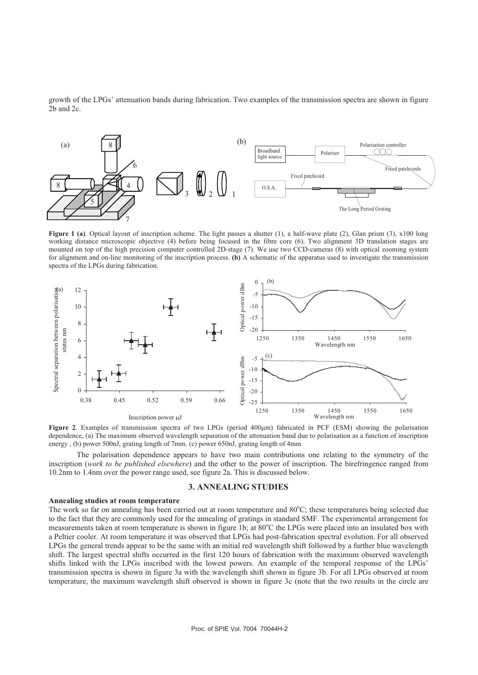growth of the LPGs' attenuation bands during fabrication. Two examples of the transmission spectra are shown in figure 2b and 2c.



**Figure 1 (a)**. Optical layout of inscription scheme. The light passes a shutter (1), a half-wave plate (2), Glan prism (3), x100 long working distance microscopic objective (4) before being focused in the fibre core (6). Two alignment 3D translation stages are mounted on top of the high precision computer controlled 2D-stage (7). We use two CCD-cameras (8) with optical zooming system for alignment and on-line monitoring of the inscription process. **(b)** A schematic of the apparatus used to investigate the transmission spectra of the LPGs during fabrication.



Figure 2. Examples of transmission spectra of two LPGs (period 400µm) fabricated in PCF (ESM) showing the polarisation dependence, (a) The maximum observed wavelength separation of the attenuation band due to polarisation as a function of inscription energy , (b) power 500nJ, grating length of 7mm. (c) power 650nJ, grating length of 4mm

The polarisation dependence appears to have two main contributions one relating to the symmetry of the inscription (*work to be published elsewhere*) and the other to the power of inscription. The birefringence ranged from 10.2nm to 1.4nm over the power range used, see figure 2a. This is discussed below.

## **3. ANNEALING STUDIES**

#### **Annealing studies at room temperature**

The work so far on annealing has been carried out at room temperature and 80°C; these temperatures being selected due to the fact that they are commonly used for the annealing of gratings in standard SMF. The experimental arrangement for measurements taken at room temperature is shown in figure 1b; at 80°C the LPGs were placed into an insulated box with a Peltier cooler. At room temperature it was observed that LPGs had post-fabrication spectral evolution. For all observed LPGs the general trends appear to be the same with an initial red wavelength shift followed by a further blue wavelength shift. The largest spectral shifts occurred in the first 120 hours of fabrication with the maximum observed wavelength shifts linked with the LPGs inscribed with the lowest powers. An example of the temporal response of the LPGs' transmission spectra is shown in figure 3a with the wavelength shift shown in figure 3b. For all LPGs observed at room temperature, the maximum wavelength shift observed is shown in figure 3c (note that the two results in the circle are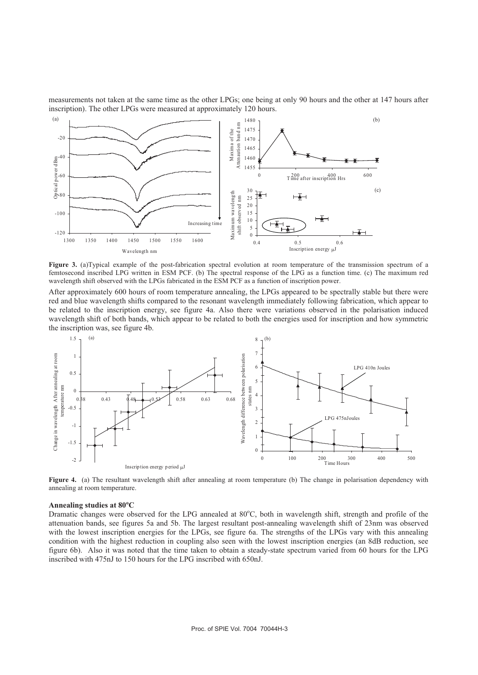measurements not taken at the same time as the other LPGs; one being at only 90 hours and the other at 147 hours after inscription). The other LPGs were measured at approximately 120 hours.



 **Figure 3.** (a)Typical example of the post-fabrication spectral evolution at room temperature of the transmission spectrum of a femtosecond inscribed LPG written in ESM PCF. (b) The spectral response of the LPG as a function time. (c) The maximum red wavelength shift observed with the LPGs fabricated in the ESM PCF as a function of inscription power.

After approximately 600 hours of room temperature annealing, the LPGs appeared to be spectrally stable but there were red and blue wavelength shifts compared to the resonant wavelength immediately following fabrication, which appear to be related to the inscription energy, see figure 4a. Also there were variations observed in the polarisation induced wavelength shift of both bands, which appear to be related to both the energies used for inscription and how symmetric the inscription was, see figure 4b.



**Figure 4.** (a) The resultant wavelength shift after annealing at room temperature (b) The change in polarisation dependency with annealing at room temperature.

## **Annealing studies at 80<sup>o</sup> C**

Dramatic changes were observed for the LPG annealed at 80°C, both in wavelength shift, strength and profile of the attenuation bands, see figures 5a and 5b. The largest resultant post-annealing wavelength shift of 23nm was observed with the lowest inscription energies for the LPGs, see figure 6a. The strengths of the LPGs vary with this annealing condition with the highest reduction in coupling also seen with the lowest inscription energies (an 8dB reduction, see figure 6b). Also it was noted that the time taken to obtain a steady-state spectrum varied from 60 hours for the LPG inscribed with 475nJ to 150 hours for the LPG inscribed with 650nJ.